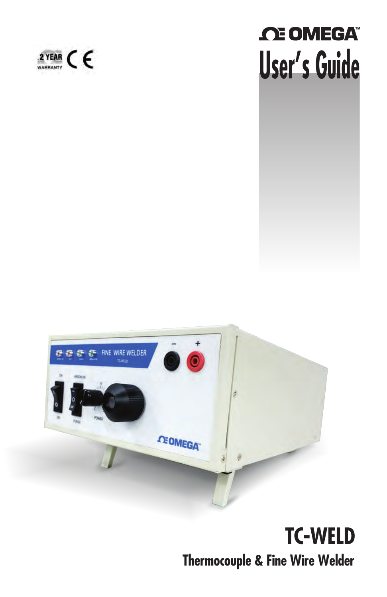# *C***E OMEGA User's Guide**





# **TC-WELD Thermocouple & Fine Wire Welder**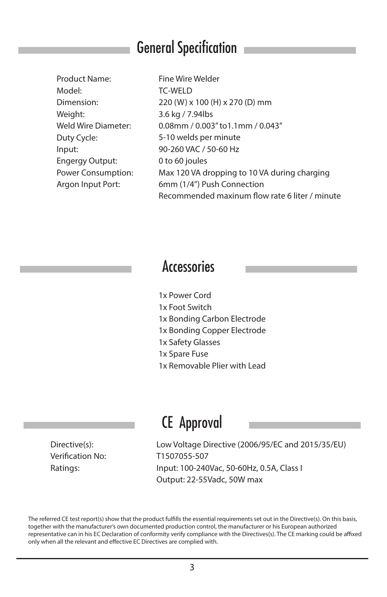#### General Specification

| Product Name:          |
|------------------------|
| Model <sup>.</sup>     |
| Dimension:             |
| Weight:                |
| Weld Wire Diameter:    |
| Duty Cycle:            |
| Input:                 |
| <b>Engergy Output:</b> |
| Power Consumption:     |
| Argon Input Port:      |
|                        |

**Fine Wire Welder TC-WELD 220 (W) x 100 (H) x 270 (D) mm 3.6 kg / 7.94lbs 0.08mm / 0.003" to1.1mm / 0.043" 5-10 welds per minute 90-260 VAC / 50-60 Hz 0 to 60 joules Max 120 VA dropping to 10 VA during charging 6mm (1/4") Push Connection** Recommended maxinum flow rate 6 liter / minute

#### **Accessories**

- **1x Power Cord**
- **1x Foot Switch**
- **1x Bonding Carbon Electrode**
- **1x Bonding Copper Electrode**
- **1x Safety Glasses**
- **1x Spare Fuse**
- **1x Removable Plier with Lead**

#### CE Approval

**Directive(s): Verification No: Ratings:**

**Low Voltage Directive (2006/95/EC and 2015/35/EU) T1507055-507 Input: 100-240Vac, 50-60Hz, 0.5A, Class I Output: 22-55Vadc, 50W max**

**The referred CE test report(s) show that the product fullls the essential requirements set out in the Directive(s). On this basis, together with the manufacturer's own documented production control, the manufacturer or his European authorized**  representative can in his EC Declaration of conformity verify compliance with the Directives(s). The CE marking could be affixed only when all the relevant and effective EC Directives are complied with.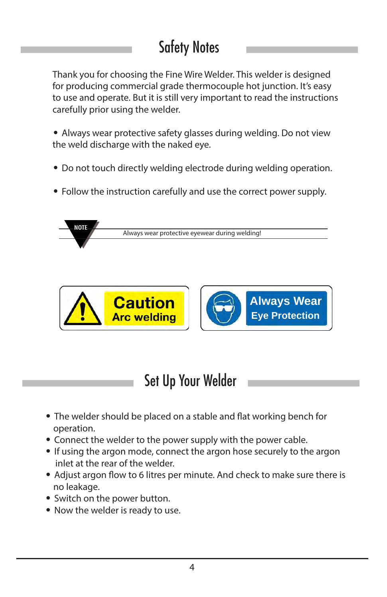# Safety Notes

**Thank you for choosing the Fine Wire Welder. This welder is designed for producing commercial grade thermocouple hot junction. It's easy to use and operate. But it is still very important to read the instructions carefully prior using the welder.**

- **Always wear protective safety glasses during welding. Do not view the weld discharge with the naked eye.**
- **Do not touch directly welding electrode during welding operation.**
- **Follow the instruction carefully and use the correct power supply.**





## Set Up Your Welder

- The welder should be placed on a stable and flat working bench for  **operation.**
- **Connect the welder to the power supply with the power cable.**
- **If using the argon mode, connect the argon hose securely to the argon inlet at the rear of the welder.**
- Adjust argon flow to 6 litres per minute. And check to make sure there is  **no leakage.**
- **Switch on the power button.**
- **Now the welder is ready to use.**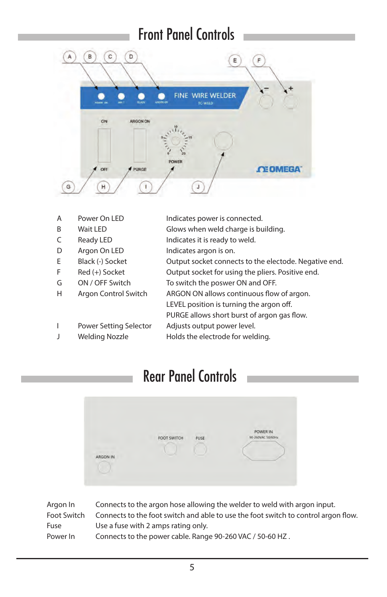#### Front Panel Controls



- **Power On LED A**
- **Wait LED B**
- **Ready LED C**
- **Argon On LED D**
- **Black (-) Socket E**
- **Red (+) Socket F**
- **ON / OFF Switch G**

**I**

**Argon Control Switch H**

- **Indicates power is connected.**
- **Glows when weld charge is building.**
- **Indicates it is ready to weld.** 
	- **Indicates argon is on.**
- **Output socket connects to the electode. Negative end.**
	- **Output socket for using the pliers. Positive end.**
		- **To switch the poswer ON and OFF.**
			- ARGON ON allows continuous flow of argon.
				- LEVEL position is turning the argon off.
				- PURGE allows short burst of argon gas flow.
- **Power Setting Selector Adjusts output power level.**
- **Welding Nozzle J**
- **Holds the electrode for welding.**

#### Rear Panel Controls

|               |             |      | POWER IN          |
|---------------|-------------|------|-------------------|
|               | FOOT SWITCH | FUSE | 90-260VAC 50/60Hz |
| a manager and |             |      |                   |
| ARGON IN      |             |      |                   |

| Argon In    | Connects to the argon hose allowing the welder to weld with argon input.           |
|-------------|------------------------------------------------------------------------------------|
| Foot Switch | Connects to the foot switch and able to use the foot switch to control argon flow. |
| Fuse        | Use a fuse with 2 amps rating only.                                                |
| Power In    | Connects to the power cable. Range 90-260 VAC / 50-60 HZ.                          |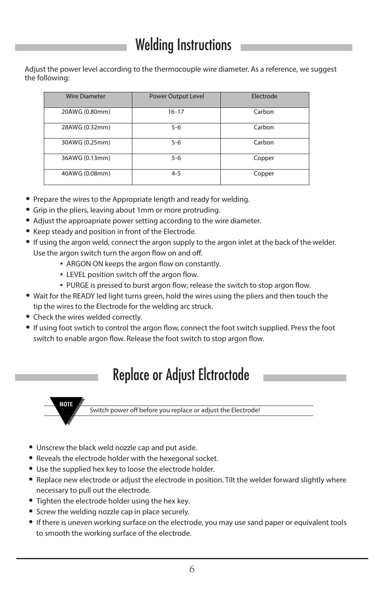### Welding Instructions

**Adjust the power level according to the thermocouple wire diameter. As a reference, we suggest the following:** 

| <b>Wire Diameter</b> | <b>Power Output Level</b> | Electrode |
|----------------------|---------------------------|-----------|
| 20AWG (0.80mm)       | $16 - 17$                 | Carbon    |
| 28AWG (0.32mm)       | $5 - 6$                   | Carbon    |
| 30AWG (0.25mm)       | $5 - 6$                   | Carbon    |
| 36AWG (0.13mm)       | $5 - 6$                   | Copper    |
| 40AWG (0.08mm)       | $4 - 5$                   | Copper    |

- **Prepare the wires to the Appropriate length and ready for welding.**
- **Grip in the pliers, leaving about 1mm or more protruding.**
- **Adjust the approapriate power setting according to the wire diameter.**
- **Keep steady and position in front of the Electrode.**
- **If using the argon weld, connect the argon supply to the argon inlet at the back of the welder. Use the argon switch turn the argon flow on and off.** 
	- **ARGON ON keeps the argon flow on constantly.**
	- **LEVEL position switch off the argon flow.**
	- **PURGE is pressed to burst argon flow; release the switch to stop argon flow.**
- **Wait for the READY led light turns green, hold the wires using the pliers and then touch the tip the wires to the Electrode for the welding arc struck.**
- **Check the wires welded correctly.**
- If using foot swtich to control the argon flow, connect the foot switch supplied. Press the foot switch to enable argon flow. Release the foot switch to stop argon flow.

#### Replace or Adjust Elctroctode



Switch power off before you replace or adjust the Electrode!

- **Unscrew the black weld nozzle cap and put aside.**
- **Reveals the electrode holder with the hexegonal socket.**
- **Use the supplied hex key to loose the electrode holder.**
- **Replace new electrode or adjust the electrode in position. Tilt the welder forward slightly where necessary to pull out the electrode.**
- **Tighten the electrode holder using the hex key.**
- **Screw the welding nozzle cap in place securely.**
- **If there is uneven working surface on the electrode, you may use sand paper or equivalent tools to smooth the working surface of the electrode.**